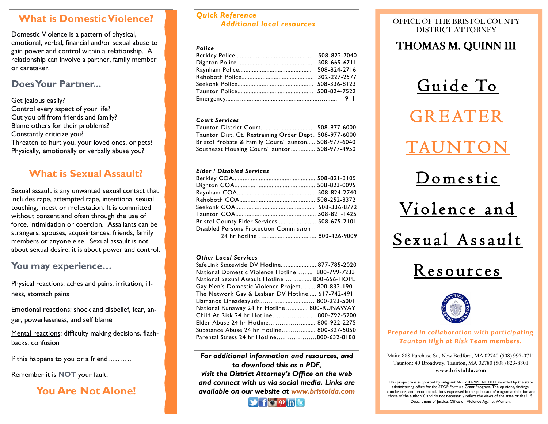### **What is Domestic Violence?**

Domestic Violence is a pattern of physical, emotional, verbal, financial and/or sexual abuse to gain power and control within a relationship. A relationship can involve a partner, family member or caretaker.

### **Does Your Partner...**

Get jealous easily? Control every aspect of your life? Cut you off from friends and family? Blame others for their problems? Constantly criticize you? Threaten to hurt you, your loved ones, or pets? Physically, emotionally or verbally abuse you?

### **What is Sexual Assault?**

Sexual assault is any unwanted sexual contact that includes rape, attempted rape, intentional sexual touching, incest or molestation. It is committed without consent and often through the use of force, intimidation or coercion. Assailants can be strangers, spouses, acquaintances, friends, family members or anyone else. Sexual assault is not about sexual desire, it is about power and control.

### **You may experience…**

Physical reactions: aches and pains, irritation, illness, stomach pains

Emotional reactions: shock and disbelief, fear, anger, powerlessness, and self blame

Mental reactions: difficulty making decisions, flashbacks, confusion

If this happens to you or a friend……….

Remember it is **NOT** your fault.

### **You Are Not Alone!**

### *Quick Reference Additional local resources*

### *Police*

### *Court Services*

| Taunton Dist. Ct. Restraining Order Dept., 508-977-6000 |  |
|---------------------------------------------------------|--|
| Bristol Probate & Family Court/Taunton 508-977-6040     |  |
| Southeast Housing Court/Taunton 508-977-4950            |  |

### *Elder / Disabled Services*

| Bristol County Elder Services 508-675-2101 |  |
|--------------------------------------------|--|
| Disabled Persons Protection Commission     |  |
|                                            |  |

### *Other Local Services*

| SafeLink Statewide DV Hotline877-785-2020         |  |
|---------------------------------------------------|--|
| National Domestic Violence Hotline  800-799-7233  |  |
| National Sexual Assault Hotline  800-656-HOPE     |  |
| Gay Men's Domestic Violence Project 800-832-1901  |  |
| The Network Gay & Lesbian DV Hotline 617-742-4911 |  |
| Llamanos Lineadeayuda 800-223-5001                |  |
| National Runaway 24 hr Hotline 800-RUNAWAY        |  |
| Child At Risk 24 hr Hotline 800-792-5200          |  |
| Elder Abuse 24 hr Hotline 800-922-2275            |  |
| Substance Abuse 24 hr Hotline 800-327-5050        |  |
| Parental Stress 24 hr Hotline800-632-8188         |  |
|                                                   |  |

*For additional information and resources, and to download this as a PDF, visit the District Attorney's Office on the web and connect with us via social media. Links are available on our website at www.bristolda.com* 



### OFFICE OF THE BRISTOL COUNTY DISTRICT ATTORNEY

### THOMAS M. QUINN III

Guide To

**GREATER** 

# TAUNT

D o mestic

Violence and



## Resources



*Prepared in collaboration with participating Taunton High at Risk Team members.*

Main: 888 Purchase St., New Bedford, MA 02740 (508) 997-0711 Taunton: 40 Broadway, Taunton, MA 02780 (508) 823-8801 **www.bristolda.com**

This project was supported by subgrant No. 2014 WF AX 0011 awarded by the state administering office for the STOP Formula Grant Program. The opinions, findings, conclusions, and recommendations expressed in this publication/program/exhibition are those of the author(s) and do not necessarily reflect the views of the state or the U.S. Department of Justice, Office on Violence Against Women.